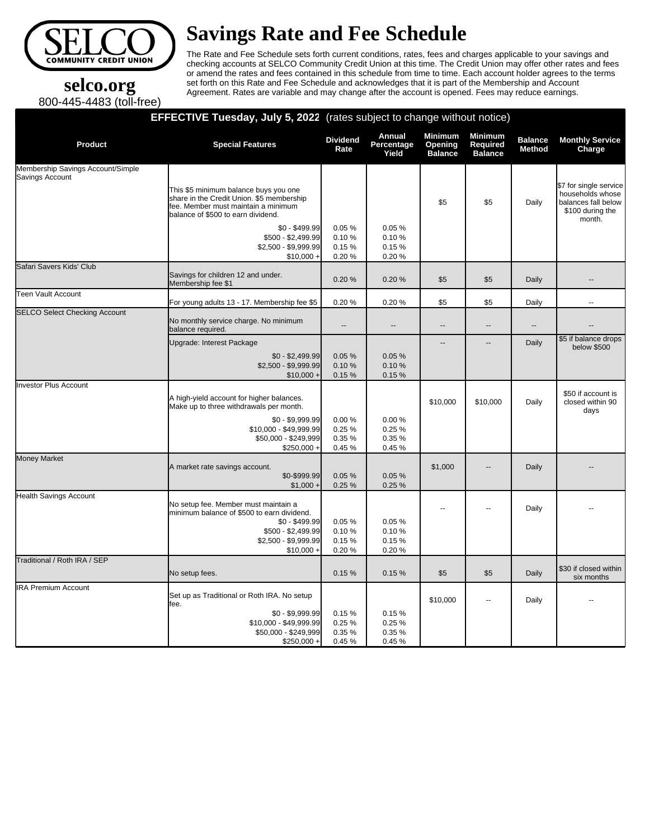

# **Savings Rate and Fee Schedule**

The Rate and Fee Schedule sets forth current conditions, rates, fees and charges applicable to your savings and checking accounts at SELCO Community Credit Union at this time. The Credit Union may offer other rates and fees or amend the rates and fees contained in this schedule from time to time. Each account holder agrees to the terms set forth on this Rate and Fee Schedule and acknowledges that it is part of the Membership and Account Agreement. Rates are variable and may change after the account is opened. Fees may reduce earnings.

## **selco.org** 800-445-4483 (toll-free)

### **EFFECTIVE Tuesday, July 5, 2022** (rates subject to change without notice)

| <b>Product</b>                                       | <b>Special Features</b>                                                                                                                                           | <b>Dividend</b><br>Rate           | Annual<br>Percentage<br>Yield    | <b>Minimum</b><br>Opening<br><b>Balance</b> | <b>Minimum</b><br><b>Required</b><br><b>Balance</b> | <b>Balance</b><br><b>Method</b> | <b>Monthly Service</b><br>Charge                                                                |
|------------------------------------------------------|-------------------------------------------------------------------------------------------------------------------------------------------------------------------|-----------------------------------|----------------------------------|---------------------------------------------|-----------------------------------------------------|---------------------------------|-------------------------------------------------------------------------------------------------|
| Membership Savings Account/Simple<br>Savings Account |                                                                                                                                                                   |                                   |                                  |                                             |                                                     |                                 |                                                                                                 |
|                                                      | This \$5 minimum balance buys you one<br>share in the Credit Union. \$5 membership<br>fee. Member must maintain a minimum<br>balance of \$500 to earn dividend.   |                                   |                                  | \$5                                         | \$5                                                 | Daily                           | \$7 for single service<br>households whose<br>balances fall below<br>\$100 during the<br>month. |
|                                                      | $$0 - $499.99$<br>\$500 - \$2,499.99<br>\$2,500 - \$9,999.99<br>$$10,000 +$                                                                                       | 0.05%<br>0.10%<br>0.15%<br>0.20%  | 0.05%<br>0.10%<br>0.15%<br>0.20% |                                             |                                                     |                                 |                                                                                                 |
| Safari Savers Kids' Club                             | Savings for children 12 and under.<br>Membership fee \$1                                                                                                          | 0.20%                             | 0.20%                            | \$5                                         | \$5                                                 | Daily                           | --                                                                                              |
| Teen Vault Account                                   | For young adults 13 - 17. Membership fee \$5                                                                                                                      | 0.20%                             | 0.20%                            | \$5                                         | \$5                                                 | Daily                           | $\overline{\phantom{a}}$                                                                        |
| <b>SELCO Select Checking Account</b>                 | No monthly service charge. No minimum<br>balance required.                                                                                                        | $\overline{a}$                    | $\overline{a}$                   | $\overline{\phantom{a}}$                    | -−                                                  | $\overline{\phantom{a}}$        | --                                                                                              |
|                                                      | Upgrade: Interest Package                                                                                                                                         |                                   |                                  | $\overline{a}$                              | --                                                  | Daily                           | \$5 if balance drops<br>below \$500                                                             |
|                                                      | $$0 - $2,499.99$<br>$$2,500 - $9,999.99$<br>$$10,000 +$                                                                                                           | 0.05%<br>0.10%<br>0.15%           | 0.05%<br>0.10%<br>0.15%          |                                             |                                                     |                                 |                                                                                                 |
| Investor Plus Account                                | A high-yield account for higher balances.<br>Make up to three withdrawals per month.                                                                              |                                   |                                  | \$10,000                                    | \$10,000                                            | Daily                           | \$50 if account is<br>closed within 90<br>days                                                  |
|                                                      | $$0 - $9,999.99$<br>\$10,000 - \$49,999.99<br>\$50,000 - \$249,999<br>$$250,000 +$                                                                                | 0.00%<br>0.25%<br>0.35%<br>0.45 % | 0.00%<br>0.25%<br>0.35%<br>0.45% |                                             |                                                     |                                 |                                                                                                 |
| Money Market                                         | A market rate savings account.<br>$$0-$999.99$<br>$$1,000 +$                                                                                                      | 0.05%<br>0.25%                    | 0.05%<br>0.25%                   | \$1,000                                     | $\overline{a}$                                      | Daily                           |                                                                                                 |
| Health Savings Account                               | No setup fee. Member must maintain a<br>minimum balance of \$500 to earn dividend.<br>$$0 - $499.99$<br>$$500 - $2,499.99$<br>\$2,500 - \$9,999.99<br>$$10,000 +$ | 0.05%<br>0.10%<br>0.15%<br>0.20%  | 0.05%<br>0.10%<br>0.15%<br>0.20% |                                             |                                                     | Daily                           |                                                                                                 |
| Traditional / Roth IRA / SEP                         | No setup fees.                                                                                                                                                    | 0.15%                             | 0.15%                            | \$5                                         | \$5                                                 | Daily                           | \$30 if closed within<br>six months                                                             |
| <b>IRA Premium Account</b>                           | Set up as Traditional or Roth IRA. No setup<br>fee.<br>$$0 - $9,999.99$<br>\$10,000 - \$49,999.99<br>\$50,000 - \$249,999<br>$$250,000 +$                         | 0.15%<br>0.25%<br>0.35%<br>0.45 % | 0.15%<br>0.25%<br>0.35%<br>0.45% | \$10,000                                    |                                                     | Daily                           |                                                                                                 |